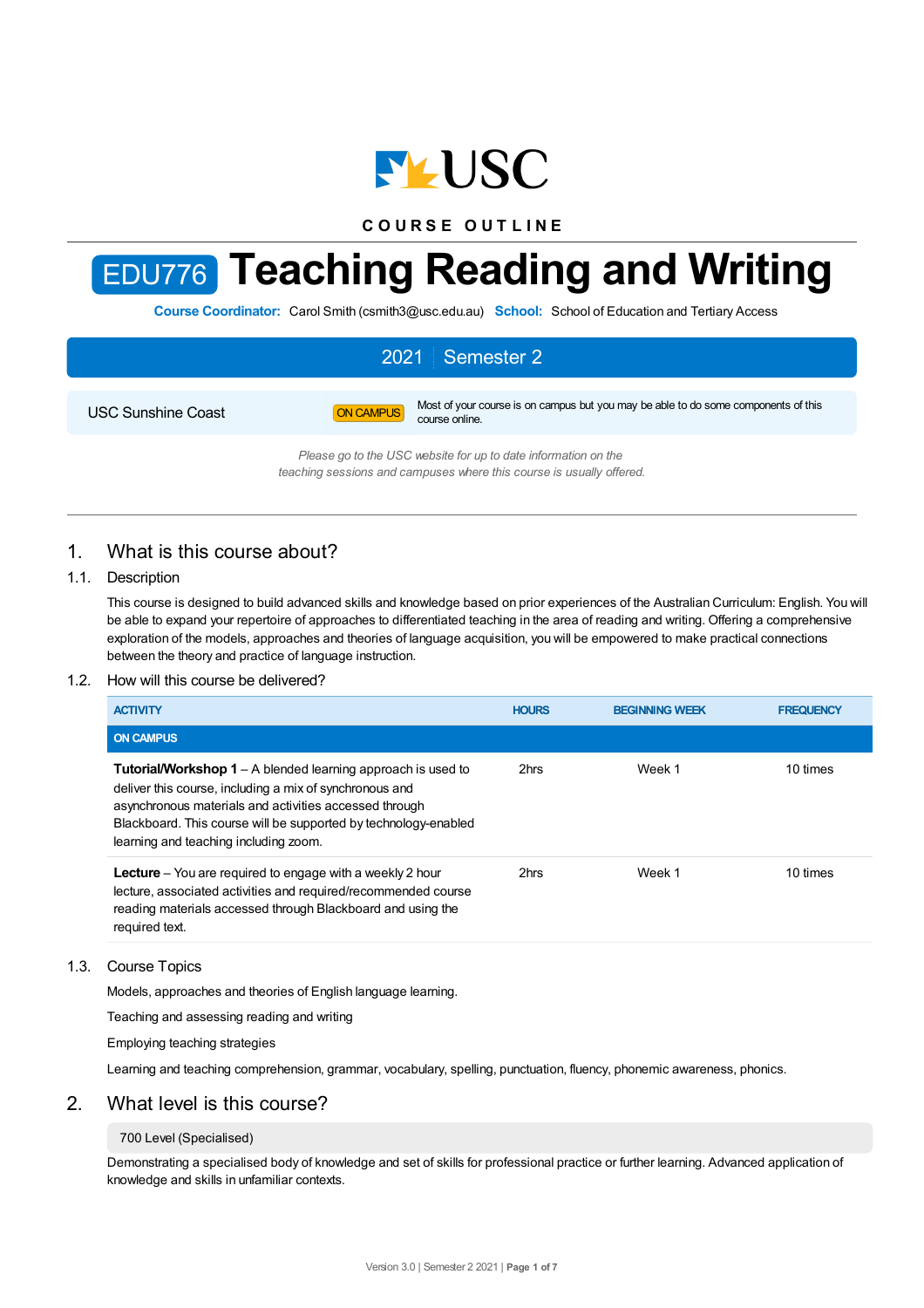

**C O U R S E O U T L I N E**

# EDU776 **Teaching Reading and Writing**

**Course Coordinator:** Carol Smith (csmith3@usc.edu.au) **School:** School of Education and Tertiary Access

# 2021 Semester 2 USC Sunshine Coast **ON CAMPUS** Most of your course is on campus but you may be able to do some components of this course online.

*Please go to the USC website for up to date information on the teaching sessions and campuses where this course is usually offered.*

# 1. What is this course about?

## 1.1. Description

This course is designed to build advanced skills and knowledge based on prior experiences of the Australian Curriculum: English. You will be able to expand your repertoire of approaches to differentiated teaching in the area of reading and writing. Offering a comprehensive exploration of the models, approaches and theories of language acquisition, you will be empowered to make practical connections between the theory and practice of language instruction.

### 1.2. How will this course be delivered?

| <b>ACTIVITY</b>                                                                                                                                                                                                                                                                                      | <b>HOURS</b> | <b>BEGINNING WEEK</b> | <b>FREQUENCY</b> |
|------------------------------------------------------------------------------------------------------------------------------------------------------------------------------------------------------------------------------------------------------------------------------------------------------|--------------|-----------------------|------------------|
| <b>ON CAMPUS</b>                                                                                                                                                                                                                                                                                     |              |                       |                  |
| <b>Tutorial/Workshop 1</b> – A blended learning approach is used to<br>deliver this course, including a mix of synchronous and<br>asynchronous materials and activities accessed through<br>Blackboard. This course will be supported by technology-enabled<br>learning and teaching including zoom. | 2hrs         | Week 1                | 10 times         |
| <b>Lecture</b> - You are required to engage with a weekly 2 hour<br>lecture, associated activities and required/recommended course<br>reading materials accessed through Blackboard and using the<br>required text.                                                                                  | 2hrs         | Week 1                | 10 times         |

### 1.3. Course Topics

Models, approaches and theories of English language learning.

Teaching and assessing reading and writing

Employing teaching strategies

Learning and teaching comprehension, grammar, vocabulary, spelling, punctuation, fluency, phonemic awareness, phonics.

# 2. What level is this course?

#### 700 Level (Specialised)

Demonstrating a specialised body of knowledge and set of skills for professional practice or further learning. Advanced application of knowledge and skills in unfamiliar contexts.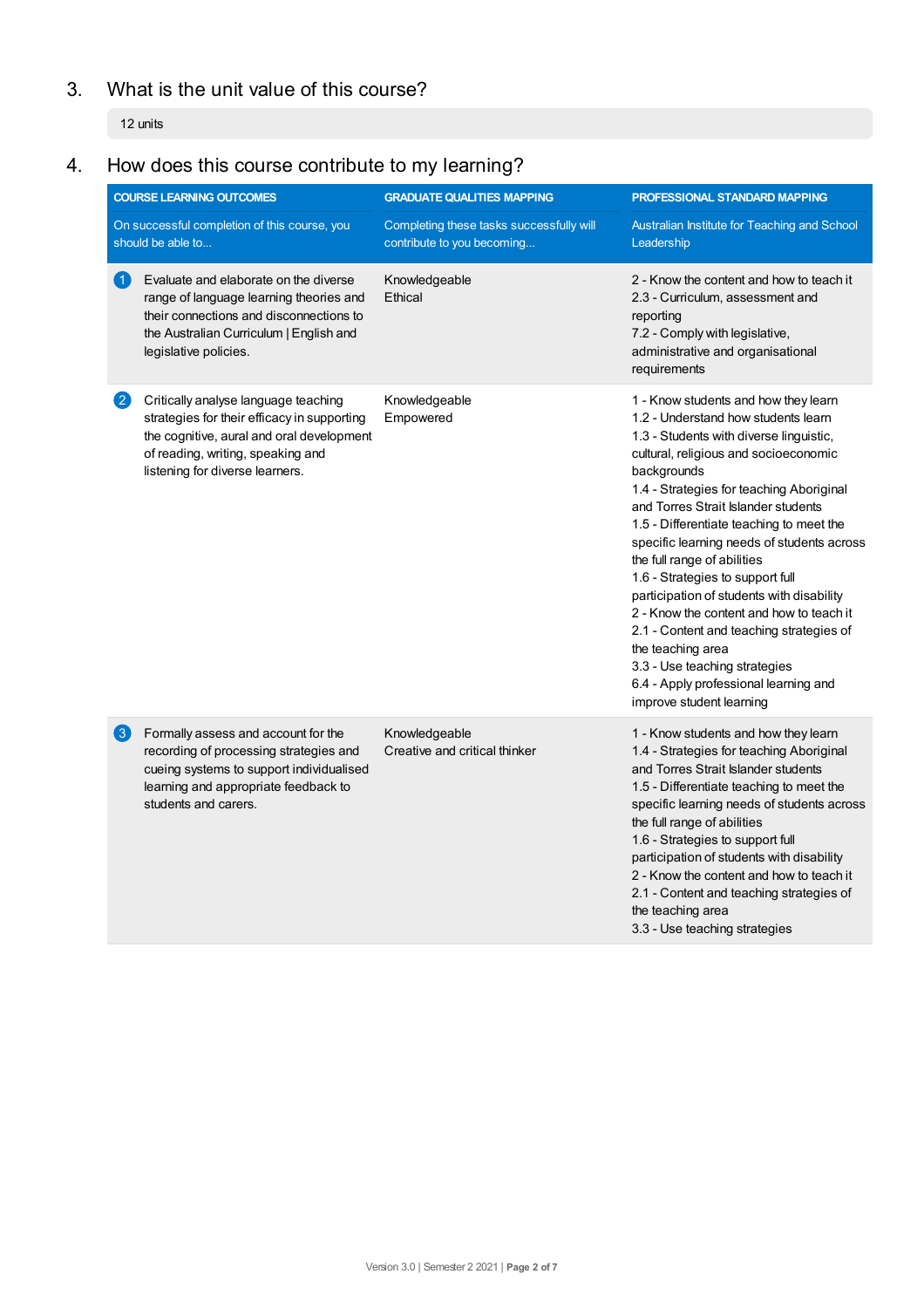# 3. What is the unit value of this course?

12 units

# 4. How does this course contribute to my learning?

| <b>COURSE LEARNING OUTCOMES</b> |                                                                                                                                                                                                          | <b>GRADUATE QUALITIES MAPPING</b>                                      | PROFESSIONAL STANDARD MAPPING                                                                                                                                                                                                                                                                                                                                                                                                                                                                                                                                                                                                                                                                  |  |
|---------------------------------|----------------------------------------------------------------------------------------------------------------------------------------------------------------------------------------------------------|------------------------------------------------------------------------|------------------------------------------------------------------------------------------------------------------------------------------------------------------------------------------------------------------------------------------------------------------------------------------------------------------------------------------------------------------------------------------------------------------------------------------------------------------------------------------------------------------------------------------------------------------------------------------------------------------------------------------------------------------------------------------------|--|
|                                 | On successful completion of this course, you<br>should be able to                                                                                                                                        | Completing these tasks successfully will<br>contribute to you becoming | Australian Institute for Teaching and School<br>Leadership                                                                                                                                                                                                                                                                                                                                                                                                                                                                                                                                                                                                                                     |  |
| $\vert$ 1)                      | Evaluate and elaborate on the diverse<br>range of language learning theories and<br>their connections and disconnections to<br>the Australian Curriculum   English and<br>legislative policies.          | Knowledgeable<br>Ethical                                               | 2 - Know the content and how to teach it<br>2.3 - Curriculum, assessment and<br>reporting<br>7.2 - Comply with legislative,<br>administrative and organisational<br>requirements                                                                                                                                                                                                                                                                                                                                                                                                                                                                                                               |  |
| $\vert 2 \rangle$               | Critically analyse language teaching<br>strategies for their efficacy in supporting<br>the cognitive, aural and oral development<br>of reading, writing, speaking and<br>listening for diverse learners. | Knowledgeable<br>Empowered                                             | 1 - Know students and how they learn<br>1.2 - Understand how students learn<br>1.3 - Students with diverse linguistic,<br>cultural, religious and socioeconomic<br>backgrounds<br>1.4 - Strategies for teaching Aboriginal<br>and Torres Strait Islander students<br>1.5 - Differentiate teaching to meet the<br>specific learning needs of students across<br>the full range of abilities<br>1.6 - Strategies to support full<br>participation of students with disability<br>2 - Know the content and how to teach it<br>2.1 - Content and teaching strategies of<br>the teaching area<br>3.3 - Use teaching strategies<br>6.4 - Apply professional learning and<br>improve student learning |  |
| $\left(3\right)$                | Formally assess and account for the<br>recording of processing strategies and<br>cueing systems to support individualised<br>learning and appropriate feedback to<br>students and carers.                | Knowledgeable<br>Creative and critical thinker                         | 1 - Know students and how they learn<br>1.4 - Strategies for teaching Aboriginal<br>and Torres Strait Islander students<br>1.5 - Differentiate teaching to meet the<br>specific learning needs of students across<br>the full range of abilities<br>1.6 - Strategies to support full<br>participation of students with disability<br>2 - Know the content and how to teach it<br>2.1 - Content and teaching strategies of<br>the teaching area<br>3.3 - Use teaching strategies                                                                                                                                                                                                                |  |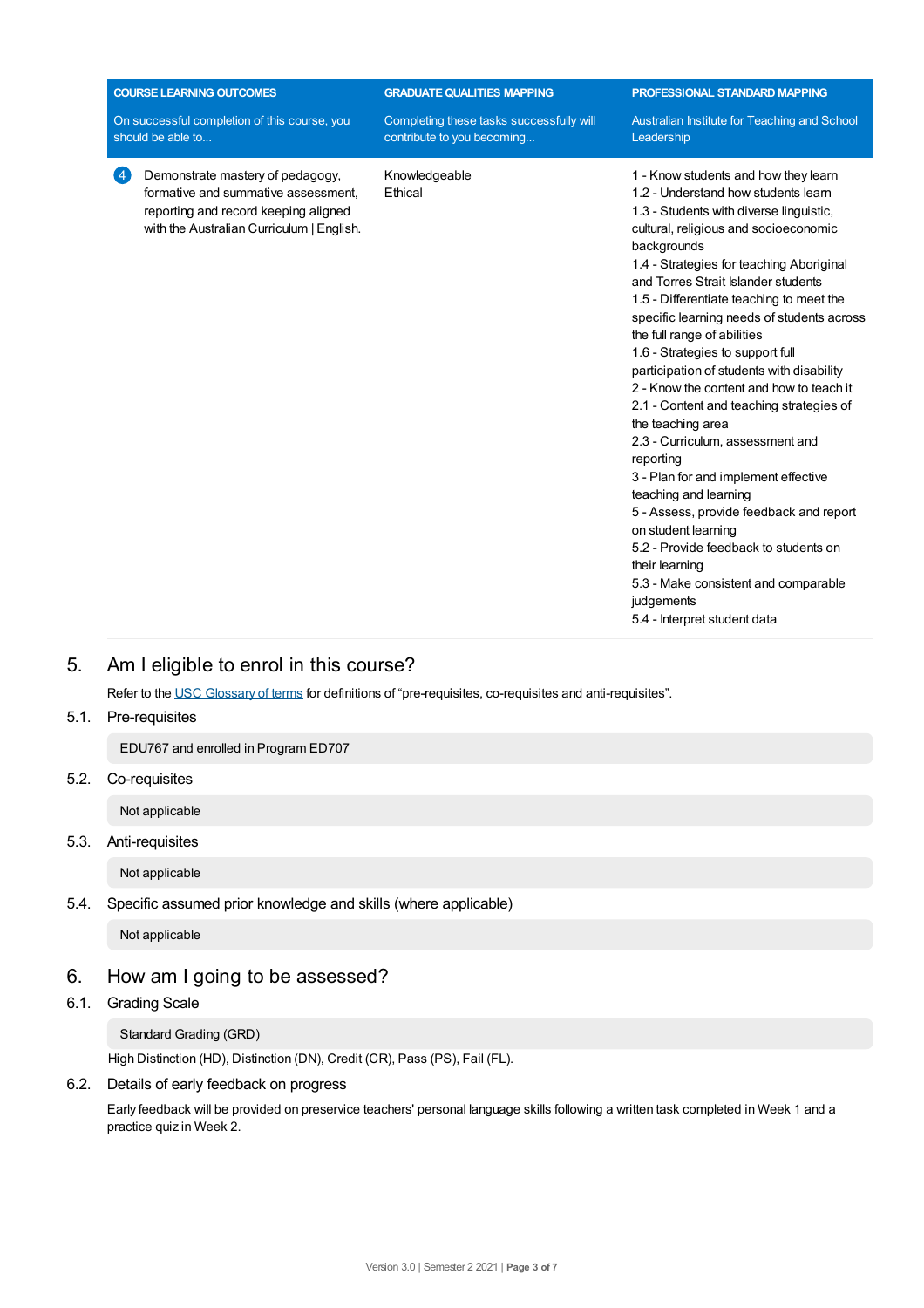|                                                                   | <b>COURSE LEARNING OUTCOMES</b>                                                                                                                              | <b>GRADUATE QUALITIES MAPPING</b>                                      | PROFESSIONAL STANDARD MAPPING                                                                                                                                                                                                                                                                                                                                                                                                                                                                                                                                                                                                                                                                                                                                                                                                                                                                                                 |  |
|-------------------------------------------------------------------|--------------------------------------------------------------------------------------------------------------------------------------------------------------|------------------------------------------------------------------------|-------------------------------------------------------------------------------------------------------------------------------------------------------------------------------------------------------------------------------------------------------------------------------------------------------------------------------------------------------------------------------------------------------------------------------------------------------------------------------------------------------------------------------------------------------------------------------------------------------------------------------------------------------------------------------------------------------------------------------------------------------------------------------------------------------------------------------------------------------------------------------------------------------------------------------|--|
| On successful completion of this course, you<br>should be able to |                                                                                                                                                              | Completing these tasks successfully will<br>contribute to you becoming | Australian Institute for Teaching and School<br>Leadership                                                                                                                                                                                                                                                                                                                                                                                                                                                                                                                                                                                                                                                                                                                                                                                                                                                                    |  |
|                                                                   | Demonstrate mastery of pedagogy,<br>formative and summative assessment.<br>reporting and record keeping aligned<br>with the Australian Curriculum   English. | Knowledgeable<br>Ethical                                               | 1 - Know students and how they learn<br>1.2 - Understand how students learn<br>1.3 - Students with diverse linguistic,<br>cultural, religious and socioeconomic<br>backgrounds<br>1.4 - Strategies for teaching Aboriginal<br>and Torres Strait Islander students<br>1.5 - Differentiate teaching to meet the<br>specific learning needs of students across<br>the full range of abilities<br>1.6 - Strategies to support full<br>participation of students with disability<br>2 - Know the content and how to teach it<br>2.1 - Content and teaching strategies of<br>the teaching area<br>2.3 - Curriculum, assessment and<br>reporting<br>3 - Plan for and implement effective<br>teaching and learning<br>5 - Assess, provide feedback and report<br>on student learning<br>5.2 - Provide feedback to students on<br>their learning<br>5.3 - Make consistent and comparable<br>judgements<br>5.4 - Interpret student data |  |

# 5. Am Ieligible to enrol in this course?

Refer to the USC [Glossary](https://www.usc.edu.au/about/policies-and-procedures/glossary-of-terms-for-policy-and-procedures) of terms for definitions of "pre-requisites, co-requisites and anti-requisites".

# 5.1. Pre-requisites

EDU767 and enrolled in Program ED707

5.2. Co-requisites

Not applicable

# 5.3. Anti-requisites

Not applicable

## 5.4. Specific assumed prior knowledge and skills (where applicable)

Not applicable

# 6. How am Igoing to be assessed?

# 6.1. Grading Scale

Standard Grading (GRD)

High Distinction (HD), Distinction (DN), Credit (CR), Pass (PS), Fail (FL).

## 6.2. Details of early feedback on progress

Early feedback will be provided on preservice teachers' personal language skills following a written task completed in Week 1 and a practice quiz in Week 2.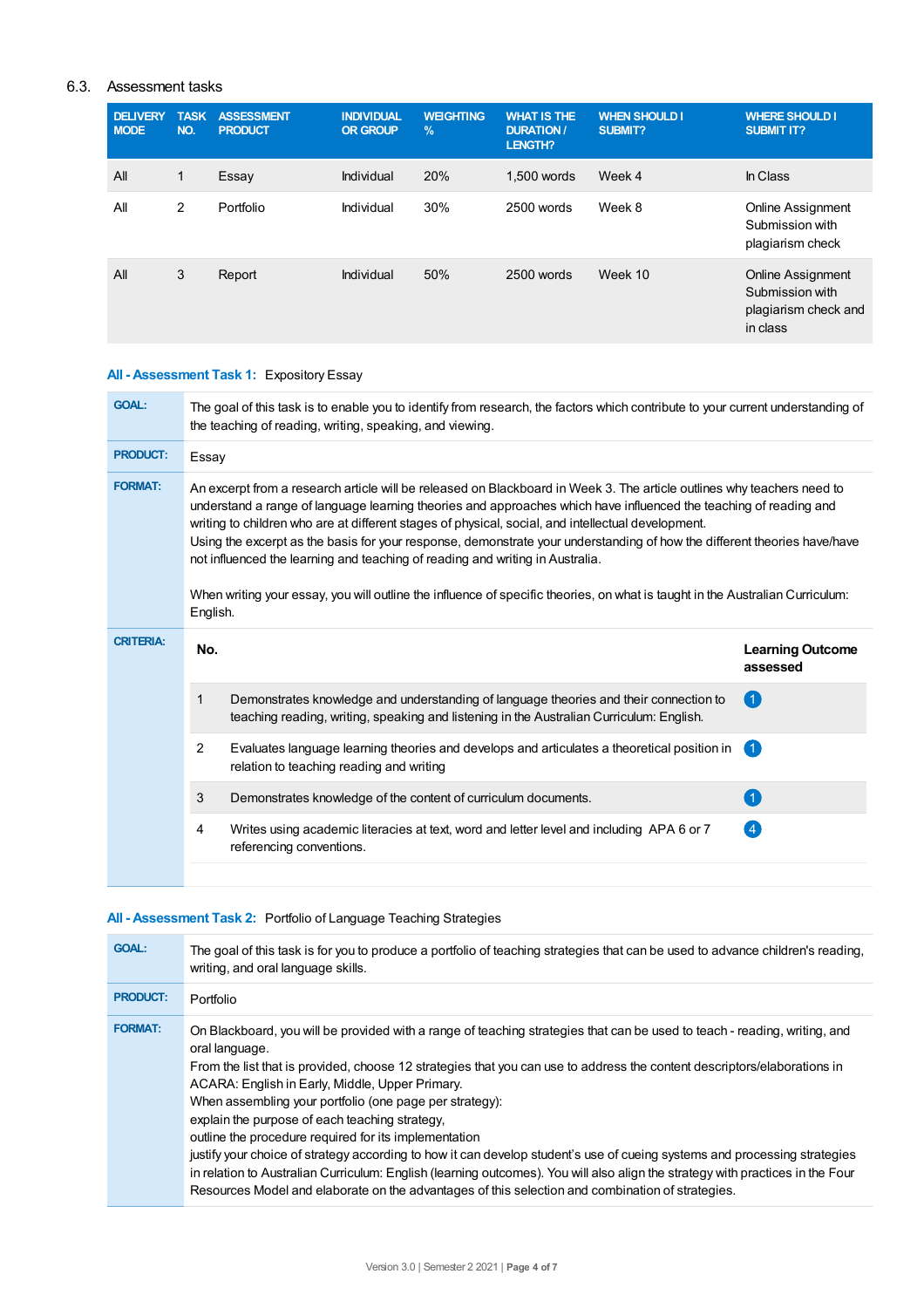## 6.3. Assessment tasks

| <b>DELIVERY</b><br><b>MODE</b> | <b>TASK</b><br>NO. | <b>ASSESSMENT</b><br><b>PRODUCT</b> | <b>INDIVIDUAL</b><br><b>OR GROUP</b> | <b>WEIGHTING</b><br>$\%$ | <b>WHAT IS THE</b><br><b>DURATION /</b><br>LENGTH? | <b>WHEN SHOULD I</b><br><b>SUBMIT?</b> | <b>WHERE SHOULD I</b><br><b>SUBMIT IT?</b>                                      |
|--------------------------------|--------------------|-------------------------------------|--------------------------------------|--------------------------|----------------------------------------------------|----------------------------------------|---------------------------------------------------------------------------------|
| All                            | 1                  | Essay                               | Individual                           | 20%                      | 1.500 words                                        | Week 4                                 | In Class                                                                        |
| All                            | 2                  | Portfolio                           | Individual                           | 30%                      | 2500 words                                         | Week 8                                 | <b>Online Assignment</b><br>Submission with<br>plagiarism check                 |
| All                            | 3                  | Report                              | Individual                           | 50%                      | 2500 words                                         | Week 10                                | <b>Online Assignment</b><br>Submission with<br>plagiarism check and<br>in class |

## **All - Assessment Task 1:** Expository Essay

| <b>GOAL:</b>     | The goal of this task is to enable you to identify from research, the factors which contribute to your current understanding of<br>the teaching of reading, writing, speaking, and viewing.                                                                                                                                                                                                                                                                                                                                                                                                                                                                                                                 |                                                                                                                                                                                   |                                     |  |  |
|------------------|-------------------------------------------------------------------------------------------------------------------------------------------------------------------------------------------------------------------------------------------------------------------------------------------------------------------------------------------------------------------------------------------------------------------------------------------------------------------------------------------------------------------------------------------------------------------------------------------------------------------------------------------------------------------------------------------------------------|-----------------------------------------------------------------------------------------------------------------------------------------------------------------------------------|-------------------------------------|--|--|
| <b>PRODUCT:</b>  | Essay                                                                                                                                                                                                                                                                                                                                                                                                                                                                                                                                                                                                                                                                                                       |                                                                                                                                                                                   |                                     |  |  |
| <b>FORMAT:</b>   | An excerpt from a research article will be released on Blackboard in Week 3. The article outlines why teachers need to<br>understand a range of language learning theories and approaches which have influenced the teaching of reading and<br>writing to children who are at different stages of physical, social, and intellectual development.<br>Using the excerpt as the basis for your response, demonstrate your understanding of how the different theories have/have<br>not influenced the learning and teaching of reading and writing in Australia.<br>When writing your essay, you will outline the influence of specific theories, on what is taught in the Australian Curriculum:<br>English. |                                                                                                                                                                                   |                                     |  |  |
| <b>CRITERIA:</b> | No.                                                                                                                                                                                                                                                                                                                                                                                                                                                                                                                                                                                                                                                                                                         |                                                                                                                                                                                   | <b>Learning Outcome</b><br>assessed |  |  |
|                  | 1                                                                                                                                                                                                                                                                                                                                                                                                                                                                                                                                                                                                                                                                                                           | Demonstrates knowledge and understanding of language theories and their connection to<br>teaching reading, writing, speaking and listening in the Australian Curriculum: English. | $\left( 1\right)$                   |  |  |
|                  | $\overline{2}$                                                                                                                                                                                                                                                                                                                                                                                                                                                                                                                                                                                                                                                                                              | Evaluates language learning theories and develops and articulates a theoretical position in<br>relation to teaching reading and writing                                           | $\left( 1\right)$                   |  |  |
|                  | 3                                                                                                                                                                                                                                                                                                                                                                                                                                                                                                                                                                                                                                                                                                           | Demonstrates knowledge of the content of curriculum documents.                                                                                                                    | $\blacktriangleleft$                |  |  |
|                  | 4                                                                                                                                                                                                                                                                                                                                                                                                                                                                                                                                                                                                                                                                                                           | Writes using academic literacies at text, word and letter level and including APA 6 or 7<br>referencing conventions.                                                              | $\left( 4\right)$                   |  |  |
|                  |                                                                                                                                                                                                                                                                                                                                                                                                                                                                                                                                                                                                                                                                                                             |                                                                                                                                                                                   |                                     |  |  |

# **All - Assessment Task 2:** Portfolio of Language Teaching Strategies

| <b>GOAL:</b>    | The goal of this task is for you to produce a portfolio of teaching strategies that can be used to advance children's reading,<br>writing, and oral language skills.                                                                                                                                                                                                                                                                                                                                                                                                                                                                                                                                                                                                                                                                                                |
|-----------------|---------------------------------------------------------------------------------------------------------------------------------------------------------------------------------------------------------------------------------------------------------------------------------------------------------------------------------------------------------------------------------------------------------------------------------------------------------------------------------------------------------------------------------------------------------------------------------------------------------------------------------------------------------------------------------------------------------------------------------------------------------------------------------------------------------------------------------------------------------------------|
| <b>PRODUCT:</b> | Portfolio                                                                                                                                                                                                                                                                                                                                                                                                                                                                                                                                                                                                                                                                                                                                                                                                                                                           |
| <b>FORMAT:</b>  | On Blackboard, you will be provided with a range of teaching strategies that can be used to teach - reading, writing, and<br>oral language.<br>From the list that is provided, choose 12 strategies that you can use to address the content descriptors/elaborations in<br>ACARA: English in Early, Middle, Upper Primary.<br>When assembling your portfolio (one page per strategy):<br>explain the purpose of each teaching strategy.<br>outline the procedure required for its implementation<br>justify your choice of strategy according to how it can develop student's use of cueing systems and processing strategies<br>in relation to Australian Curriculum: English (learning outcomes). You will also align the strategy with practices in the Four<br>Resources Model and elaborate on the advantages of this selection and combination of strategies. |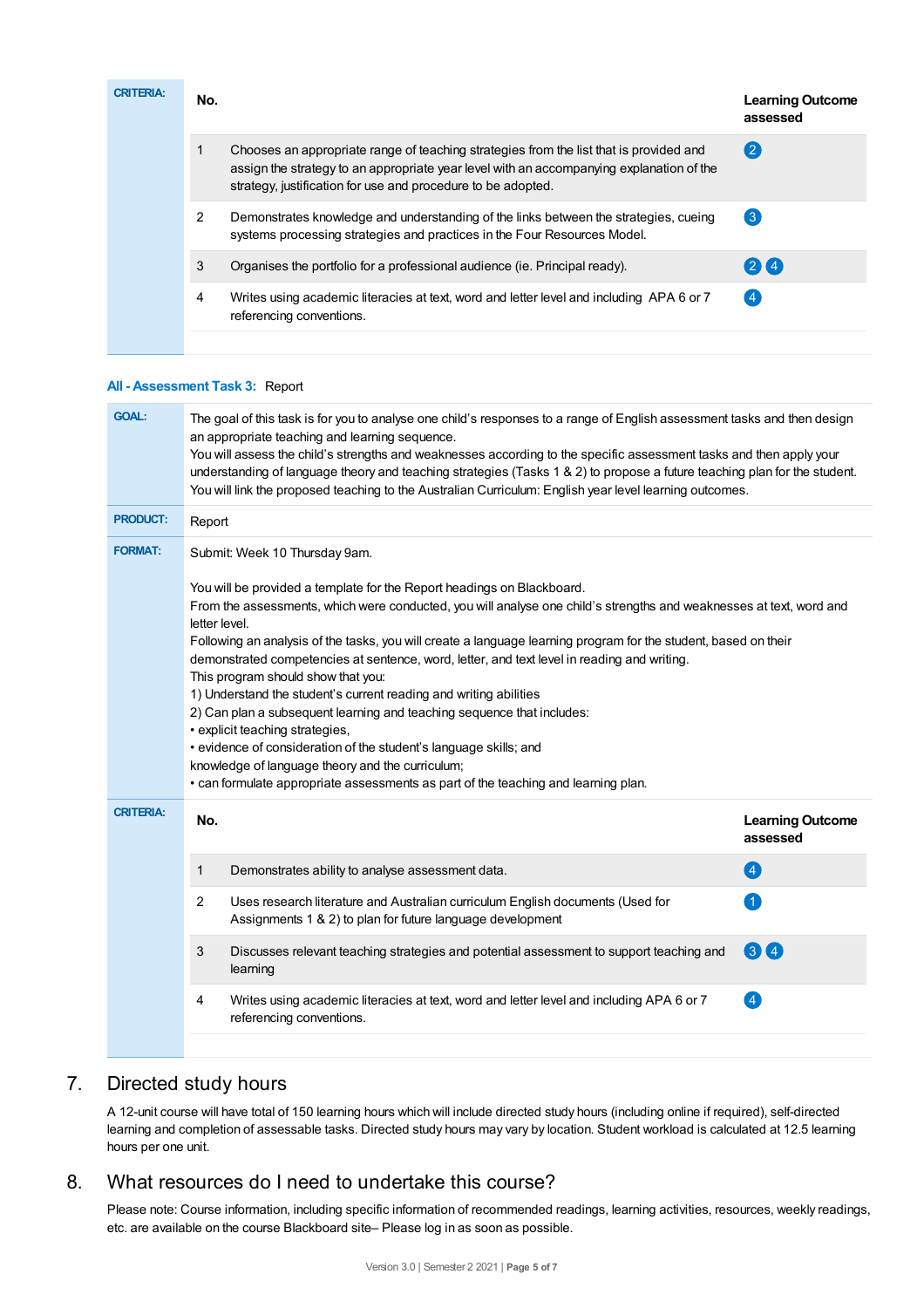| <b>CRITERIA:</b> | No. |                                                                                                                                                                                                                                                    | <b>Learning Outcome</b><br>assessed |
|------------------|-----|----------------------------------------------------------------------------------------------------------------------------------------------------------------------------------------------------------------------------------------------------|-------------------------------------|
|                  |     | Chooses an appropriate range of teaching strategies from the list that is provided and<br>assign the strategy to an appropriate year level with an accompanying explanation of the<br>strategy, justification for use and procedure to be adopted. | (2)                                 |
|                  | 2   | Demonstrates knowledge and understanding of the links between the strategies, cueing<br>systems processing strategies and practices in the Four Resources Model.                                                                                   | $\left(3\right)$                    |
|                  | 3   | Organises the portfolio for a professional audience (ie. Principal ready).                                                                                                                                                                         | 24                                  |
|                  | 4   | Writes using academic literacies at text, word and letter level and including APA 6 or 7<br>referencing conventions.                                                                                                                               | $\overline{4}$                      |

#### **All - Assessment Task 3:** Report

| <b>GOAL:</b>     | The goal of this task is for you to analyse one child's responses to a range of English assessment tasks and then design<br>an appropriate teaching and learning sequence.<br>You will assess the child's strengths and weaknesses according to the specific assessment tasks and then apply your<br>understanding of language theory and teaching strategies (Tasks 1 & 2) to propose a future teaching plan for the student.<br>You will link the proposed teaching to the Australian Curriculum: English year level learning outcomes.                                                                                                                                                                                                                                                                                                                                                                |                                                                                                                                              |                                     |  |  |  |
|------------------|----------------------------------------------------------------------------------------------------------------------------------------------------------------------------------------------------------------------------------------------------------------------------------------------------------------------------------------------------------------------------------------------------------------------------------------------------------------------------------------------------------------------------------------------------------------------------------------------------------------------------------------------------------------------------------------------------------------------------------------------------------------------------------------------------------------------------------------------------------------------------------------------------------|----------------------------------------------------------------------------------------------------------------------------------------------|-------------------------------------|--|--|--|
| <b>PRODUCT:</b>  | Report                                                                                                                                                                                                                                                                                                                                                                                                                                                                                                                                                                                                                                                                                                                                                                                                                                                                                                   |                                                                                                                                              |                                     |  |  |  |
| <b>FORMAT:</b>   | Submit: Week 10 Thursday 9am.<br>You will be provided a template for the Report headings on Blackboard.<br>From the assessments, which were conducted, you will analyse one child's strengths and weaknesses at text, word and<br>letter level.<br>Following an analysis of the tasks, you will create a language learning program for the student, based on their<br>demonstrated competencies at sentence, word, letter, and text level in reading and writing.<br>This program should show that you:<br>1) Understand the student's current reading and writing abilities<br>2) Can plan a subsequent learning and teaching sequence that includes:<br>• explicit teaching strategies,<br>· evidence of consideration of the student's language skills; and<br>knowledge of language theory and the curriculum;<br>• can formulate appropriate assessments as part of the teaching and learning plan. |                                                                                                                                              |                                     |  |  |  |
| <b>CRITERIA:</b> | No.                                                                                                                                                                                                                                                                                                                                                                                                                                                                                                                                                                                                                                                                                                                                                                                                                                                                                                      |                                                                                                                                              | <b>Learning Outcome</b><br>assessed |  |  |  |
|                  | 1                                                                                                                                                                                                                                                                                                                                                                                                                                                                                                                                                                                                                                                                                                                                                                                                                                                                                                        | Demonstrates ability to analyse assessment data.                                                                                             | 4                                   |  |  |  |
|                  | 2                                                                                                                                                                                                                                                                                                                                                                                                                                                                                                                                                                                                                                                                                                                                                                                                                                                                                                        | Uses research literature and Australian curriculum English documents (Used for<br>Assignments 1 & 2) to plan for future language development | 1                                   |  |  |  |
|                  | 3                                                                                                                                                                                                                                                                                                                                                                                                                                                                                                                                                                                                                                                                                                                                                                                                                                                                                                        | Discusses relevant teaching strategies and potential assessment to support teaching and<br>learning                                          | 34                                  |  |  |  |
|                  | 4                                                                                                                                                                                                                                                                                                                                                                                                                                                                                                                                                                                                                                                                                                                                                                                                                                                                                                        | Writes using academic literacies at text, word and letter level and including APA 6 or 7<br>referencing conventions.                         | $\left( 4\right)$                   |  |  |  |
|                  |                                                                                                                                                                                                                                                                                                                                                                                                                                                                                                                                                                                                                                                                                                                                                                                                                                                                                                          |                                                                                                                                              |                                     |  |  |  |

# 7. Directed study hours

A 12-unit course will have total of 150 learning hours which will include directed study hours (including online if required), self-directed learning and completion of assessable tasks. Directed study hours may vary by location. Student workload is calculated at 12.5 learning hours per one unit.

# 8. What resources do I need to undertake this course?

Please note: Course information, including specific information of recommended readings, learning activities, resources, weekly readings, etc. are available on the course Blackboard site– Please log in as soon as possible.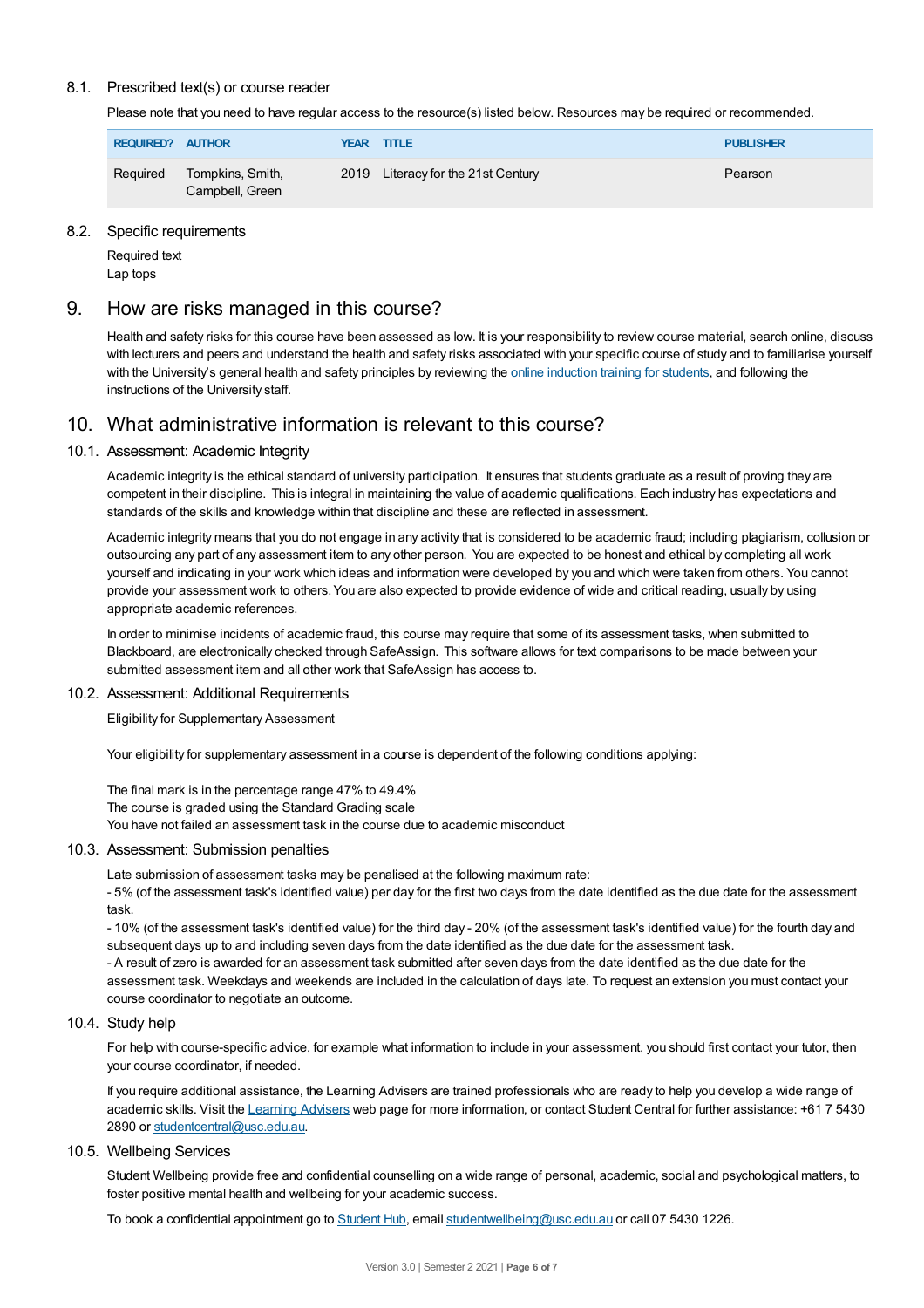#### 8.1. Prescribed text(s) or course reader

Please note that you need to have regular access to the resource(s) listed below. Resources may be required or recommended.

| REQUIRED? AUTHOR |                                     | <b>YEAR TITLE</b>                  | <b>PUBLISHER</b> |
|------------------|-------------------------------------|------------------------------------|------------------|
| Reguired         | Tompkins, Smith,<br>Campbell, Green | 2019 Literacy for the 21st Century | Pearson          |

#### 8.2. Specific requirements

Required text Lap tops

# 9. How are risks managed in this course?

Health and safety risks for this course have been assessed as low. It is your responsibility to review course material, search online, discuss with lecturers and peers and understand the health and safety risks associated with your specific course of study and to familiarise yourself with the University's general health and safety principles by reviewing the online [induction](https://online.usc.edu.au/webapps/blackboard/content/listContentEditable.jsp?content_id=_632657_1&course_id=_14432_1) training for students, and following the instructions of the University staff.

# 10. What administrative information is relevant to this course?

#### 10.1. Assessment: Academic Integrity

Academic integrity is the ethical standard of university participation. It ensures that students graduate as a result of proving they are competent in their discipline. This is integral in maintaining the value of academic qualifications. Each industry has expectations and standards of the skills and knowledge within that discipline and these are reflected in assessment.

Academic integrity means that you do not engage in any activity that is considered to be academic fraud; including plagiarism, collusion or outsourcing any part of any assessment item to any other person. You are expected to be honest and ethical by completing all work yourself and indicating in your work which ideas and information were developed by you and which were taken from others. You cannot provide your assessment work to others.You are also expected to provide evidence of wide and critical reading, usually by using appropriate academic references.

In order to minimise incidents of academic fraud, this course may require that some of its assessment tasks, when submitted to Blackboard, are electronically checked through SafeAssign. This software allows for text comparisons to be made between your submitted assessment item and all other work that SafeAssign has access to.

#### 10.2. Assessment: Additional Requirements

Eligibility for Supplementary Assessment

Your eligibility for supplementary assessment in a course is dependent of the following conditions applying:

The final mark is in the percentage range 47% to 49.4%

The course is graded using the Standard Grading scale

You have not failed an assessment task in the course due to academic misconduct

#### 10.3. Assessment: Submission penalties

Late submission of assessment tasks may be penalised at the following maximum rate:

- 5% (of the assessment task's identified value) per day for the first two days from the date identified as the due date for the assessment task.

- 10% (of the assessment task's identified value) for the third day - 20% (of the assessment task's identified value) for the fourth day and subsequent days up to and including seven days from the date identified as the due date for the assessment task.

- A result of zero is awarded for an assessment task submitted after seven days from the date identified as the due date for the assessment task. Weekdays and weekends are included in the calculation of days late. To request an extension you must contact your course coordinator to negotiate an outcome.

#### 10.4. Study help

For help with course-specific advice, for example what information to include in your assessment, you should first contact your tutor, then your course coordinator, if needed.

If you require additional assistance, the Learning Advisers are trained professionals who are ready to help you develop a wide range of academic skills. Visit the Learning [Advisers](https://www.usc.edu.au/current-students/student-support/academic-and-study-support/learning-advisers) web page for more information, or contact Student Central for further assistance: +61 7 5430 2890 or [studentcentral@usc.edu.au](mailto:studentcentral@usc.edu.au).

#### 10.5. Wellbeing Services

Student Wellbeing provide free and confidential counselling on a wide range of personal, academic, social and psychological matters, to foster positive mental health and wellbeing for your academic success.

To book a confidential appointment go to [Student](https://studenthub.usc.edu.au/) Hub, email [studentwellbeing@usc.edu.au](mailto:studentwellbeing@usc.edu.au) or call 07 5430 1226.